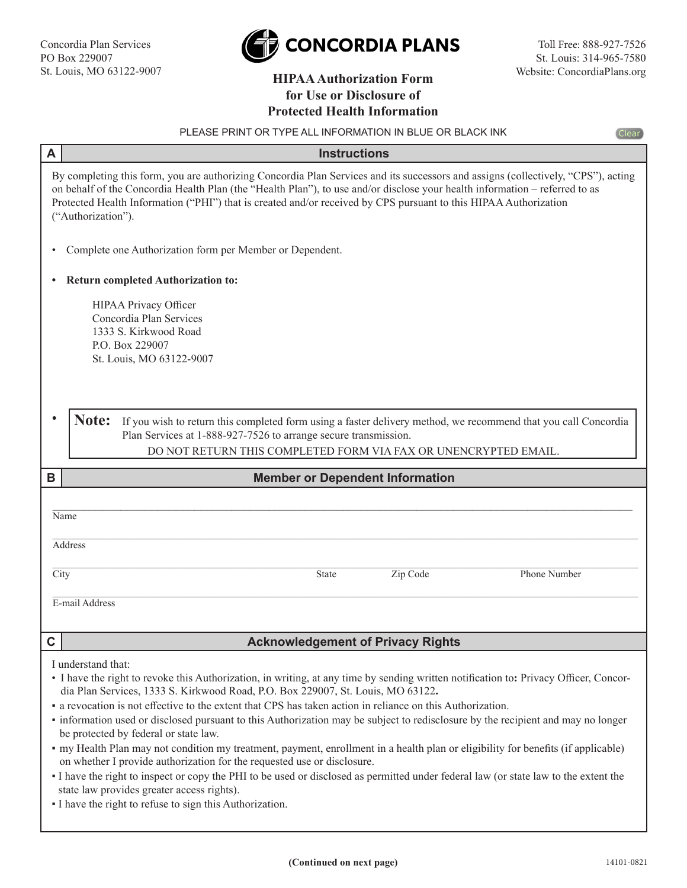

## Website: ConcordiaPlans.org **HIPAA Authorization Form for Use or Disclosure of Protected Health Information**

| PLEASE PRINT OR TYPE ALL INFORMATION IN BLUE OR BLACK INK<br><b>Clear</b>                                                                                                                                                                                                                                                                                                                                                                                                                                                                                                                                                                                                                                                                                                                                                                                                                                                                                                                                 |                                                                                                                                                                                                                                                      |  |  |
|-----------------------------------------------------------------------------------------------------------------------------------------------------------------------------------------------------------------------------------------------------------------------------------------------------------------------------------------------------------------------------------------------------------------------------------------------------------------------------------------------------------------------------------------------------------------------------------------------------------------------------------------------------------------------------------------------------------------------------------------------------------------------------------------------------------------------------------------------------------------------------------------------------------------------------------------------------------------------------------------------------------|------------------------------------------------------------------------------------------------------------------------------------------------------------------------------------------------------------------------------------------------------|--|--|
| A                                                                                                                                                                                                                                                                                                                                                                                                                                                                                                                                                                                                                                                                                                                                                                                                                                                                                                                                                                                                         | <b>Instructions</b>                                                                                                                                                                                                                                  |  |  |
| By completing this form, you are authorizing Concordia Plan Services and its successors and assigns (collectively, "CPS"), acting<br>on behalf of the Concordia Health Plan (the "Health Plan"), to use and/or disclose your health information – referred to as<br>Protected Health Information ("PHI") that is created and/or received by CPS pursuant to this HIPAA Authorization<br>("Authorization").                                                                                                                                                                                                                                                                                                                                                                                                                                                                                                                                                                                                |                                                                                                                                                                                                                                                      |  |  |
| Complete one Authorization form per Member or Dependent.<br>٠                                                                                                                                                                                                                                                                                                                                                                                                                                                                                                                                                                                                                                                                                                                                                                                                                                                                                                                                             |                                                                                                                                                                                                                                                      |  |  |
| <b>Return completed Authorization to:</b>                                                                                                                                                                                                                                                                                                                                                                                                                                                                                                                                                                                                                                                                                                                                                                                                                                                                                                                                                                 |                                                                                                                                                                                                                                                      |  |  |
|                                                                                                                                                                                                                                                                                                                                                                                                                                                                                                                                                                                                                                                                                                                                                                                                                                                                                                                                                                                                           | HIPAA Privacy Officer<br>Concordia Plan Services<br>1333 S. Kirkwood Road<br>P.O. Box 229007<br>St. Louis, MO 63122-9007                                                                                                                             |  |  |
| Note:                                                                                                                                                                                                                                                                                                                                                                                                                                                                                                                                                                                                                                                                                                                                                                                                                                                                                                                                                                                                     | If you wish to return this completed form using a faster delivery method, we recommend that you call Concordia<br>Plan Services at 1-888-927-7526 to arrange secure transmission.<br>DO NOT RETURN THIS COMPLETED FORM VIA FAX OR UNENCRYPTED EMAIL. |  |  |
| В                                                                                                                                                                                                                                                                                                                                                                                                                                                                                                                                                                                                                                                                                                                                                                                                                                                                                                                                                                                                         | <b>Member or Dependent Information</b>                                                                                                                                                                                                               |  |  |
| Name<br><b>Address</b><br>City                                                                                                                                                                                                                                                                                                                                                                                                                                                                                                                                                                                                                                                                                                                                                                                                                                                                                                                                                                            | Zip Code<br>Phone Number<br>State                                                                                                                                                                                                                    |  |  |
|                                                                                                                                                                                                                                                                                                                                                                                                                                                                                                                                                                                                                                                                                                                                                                                                                                                                                                                                                                                                           |                                                                                                                                                                                                                                                      |  |  |
| E-mail Address                                                                                                                                                                                                                                                                                                                                                                                                                                                                                                                                                                                                                                                                                                                                                                                                                                                                                                                                                                                            |                                                                                                                                                                                                                                                      |  |  |
| $\mathbf C$                                                                                                                                                                                                                                                                                                                                                                                                                                                                                                                                                                                                                                                                                                                                                                                                                                                                                                                                                                                               | <b>Acknowledgement of Privacy Rights</b>                                                                                                                                                                                                             |  |  |
| I understand that:<br>• I have the right to revoke this Authorization, in writing, at any time by sending written notification to: Privacy Officer, Concor-<br>dia Plan Services, 1333 S. Kirkwood Road, P.O. Box 229007, St. Louis, MO 63122.<br>• a revocation is not effective to the extent that CPS has taken action in reliance on this Authorization.<br>• information used or disclosed pursuant to this Authorization may be subject to redisclosure by the recipient and may no longer<br>be protected by federal or state law.<br>• my Health Plan may not condition my treatment, payment, enrollment in a health plan or eligibility for benefits (if applicable)<br>on whether I provide authorization for the requested use or disclosure.<br>I have the right to inspect or copy the PHI to be used or disclosed as permitted under federal law (or state law to the extent the<br>state law provides greater access rights).<br>• I have the right to refuse to sign this Authorization. |                                                                                                                                                                                                                                                      |  |  |